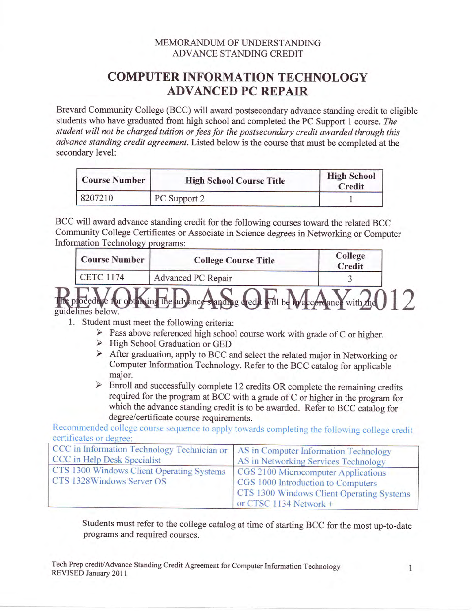## MEMORANDUM OF UNDERSTANDING **ADVANCE STANDING CREDIT**

## **COMPUTER INFORMATION TECHNOLOGY ADVANCED PC REPAIR**

Brevard Community College (BCC) will award postsecondary advance standing credit to eligible students who have graduated from high school and completed the PC Support 1 course. The student will not be charged tuition or fees for the postsecondary credit awarded through this advance standing credit agreement. Listed below is the course that must be completed at the secondary level:

| <b>Course Number</b> | <b>High School Course Title</b> | <b>High School</b><br>Credit |
|----------------------|---------------------------------|------------------------------|
| 8207210              | PC Support 2                    |                              |

BCC will award advance standing credit for the following courses toward the related BCC Community College Certificates or Associate in Science degrees in Networking or Computer **Information Technology programs:** 

| <b>Course Number</b> | <b>College Course Title</b>                                                   | College<br>Credit |  |
|----------------------|-------------------------------------------------------------------------------|-------------------|--|
| <b>CETC 1174</b>     | Advanced PC Repair                                                            |                   |  |
| elines below         | ocedure for obtaining the advance standing ared will be ware ordance with the |                   |  |

- 1. Student must meet the following criteria:
	- $\triangleright$  Pass above referenced high school course work with grade of C or higher.
	- $\triangleright$  High School Graduation or GED
	- > After graduation, apply to BCC and select the related major in Networking or Computer Information Technology. Refer to the BCC catalog for applicable major.
	- $\triangleright$  Enroll and successfully complete 12 credits OR complete the remaining credits required for the program at BCC with a grade of C or higher in the program for which the advance standing credit is to be awarded. Refer to BCC catalog for degree/certificate course requirements.

Recommended college course sequence to apply towards completing the following college credit certificates or degree:

| CCC in Information Technology Technician or   AS in Computer Information Technology<br>CCC in Help Desk Specialist | AS in Networking Services Technology                                                                                                             |
|--------------------------------------------------------------------------------------------------------------------|--------------------------------------------------------------------------------------------------------------------------------------------------|
| CTS 1300 Windows Client Operating Systems<br>CTS 1328Windows Server OS                                             | CGS 2100 Microcomputer Applications<br>CGS 1000 Introduction to Computers<br>CTS 1300 Windows Client Operating Systems<br>or CTSC 1134 Network + |

Students must refer to the college catalog at time of starting BCC for the most up-to-date programs and required courses.